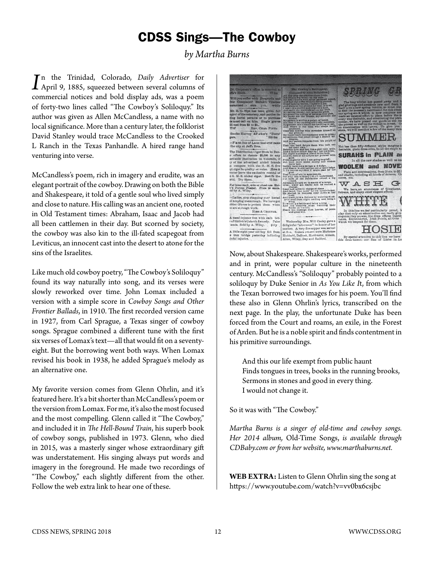## CDSS Sings—The Cowboy

*by Martha Burns*

*I*<sup>n</sup> the Trinidad, Colorado, *Daily Advertiser* for April 9, 1885, squeezed between several columns of commercial notices and hold display ads vess a norm n the Trinidad, Colorado, *Daily Advertiser* for commercial notices and bold display ads, was a poem of forty-two lines called "The Cowboy's Soliloquy." Its author was given as Allen McCandless, a name with no local significance. More than a century later, the folklorist David Stanley would trace McCandless to the Crooked L Ranch in the Texas Panhandle. A hired range hand venturing into verse.

McCandless's poem, rich in imagery and erudite, was an elegant portrait of the cowboy. Drawing on both the Bible and Shakespeare, it told of a gentle soul who lived simply and close to nature. His calling was an ancient one, rooted in Old Testament times: Abraham, Isaac and Jacob had all been cattlemen in their day. But scorned by society, the cowboy was also kin to the ill-fated scapegoat from Leviticus, an innocent cast into the desert to atone for the sins of the Israelites.

Like much old cowboy poetry, "The Cowboy's Soliloquy" found its way naturally into song, and its verses were slowly reworked over time. John Lomax included a version with a simple score in *Cowboy Songs and Other Frontier Ballads*, in 1910. The first recorded version came in 1927, from Carl Sprague, a Texas singer of cowboy songs. Sprague combined a different tune with the first six verses of Lomax's text—all that would fit on a seventyeight. But the borrowing went both ways. When Lomax revised his book in 1938, he added Sprague's melody as an alternative one.

My favorite version comes from Glenn Ohrlin, and it's featured here. It's a bit shorter than McCandless's poem or the version from Lomax. For me, it's also the most focused and the most compelling. Glenn called it "The Cowboy," and included it in *The Hell-Bound Train*, his superb book of cowboy songs, published in 1973. Glenn, who died in 2015, was a masterly singer whose extraordinary gift was understatement. His singing always put words and imagery in the foreground. He made two recordings of "The Cowboy," each slightly different from the other. Follow the web extra link to hear one of these.



Now, about Shakespeare. Shakespeare's works, performed and in print, were popular culture in the nineteenth century. McCandless's "Soliloquy" probably pointed to a soliloquy by Duke Senior in *As You Like I*t, from which the Texan borrowed two images for his poem. You'll find these also in Glenn Ohrlin's lyrics, transcribed on the next page. In the play, the unfortunate Duke has been forced from the Court and roams, an exile, in the Forest of Arden. But he is a noble spirit and finds contentment in his primitive surroundings.

 And this our life exempt from public haunt Finds tongues in trees, books in the running brooks, Sermons in stones and good in every thing. I would not change it.

So it was with "The Cowboy."

*Martha Burns is a singer of old-time and cowboy songs. Her 2014 album,* Old-Time Songs, *is available through CDBaby.com or from her website, www.marthaburns.net.*

**WEB EXTRA:** Listen to Glenn Ohrlin sing the song at https://www.youtube.com/watch?v=vv0bx6csjbc